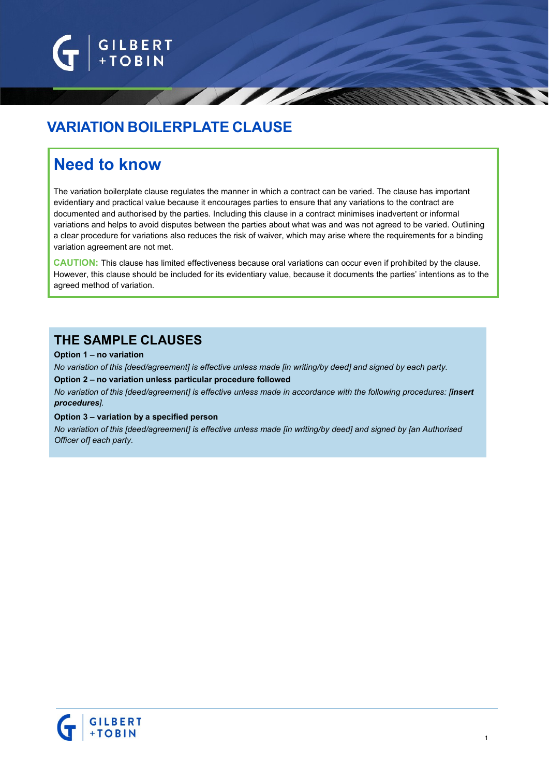

# **VARIATION BOILERPLATE CLAUSE**

# **Need to know**

The variation boilerplate clause regulates the manner in which a contract can be varied. The clause has important evidentiary and practical value because it encourages parties to ensure that any variations to the contract are documented and authorised by the parties. Including this clause in a contract minimises inadvertent or informal variations and helps to avoid disputes between the parties about what was and was not agreed to be varied. Outlining a clear procedure for variations also reduces the risk of waiver, which may arise where the requirements for a binding variation agreement are not met.

**CAUTION:** This clause has limited effectiveness because oral variations can occur even if prohibited by the clause. However, this clause should be included for its evidentiary value, because it documents the parties' intentions as to the agreed method of variation.

# **THE SAMPLE CLAUSES**

#### **Option 1 – no variation**

No variation of this [deed/agreement] is effective unless made [in writing/by deed] and signed by each party. **Option 2 – no variation unless particular procedure followed**

*No variation of this [deed/agreement] is effective unless made in accordance with the following procedures: [insert procedures].*

#### **Option 3 – variation by a specified person**

*No variation of this [deed/agreement] is effective unless made [in writing/by deed] and signed by [an Authorised Officer of] each party.*

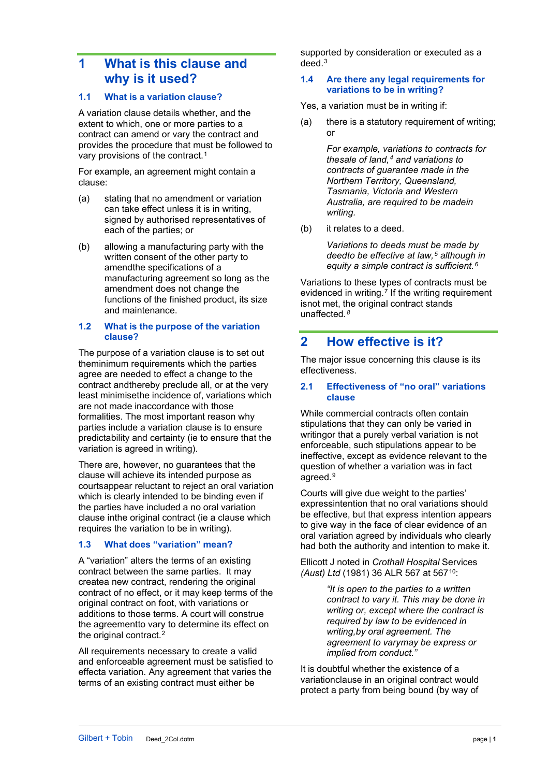# **1 What is this clause and why is it used?**

## **1.1 What is a variation clause?**

A variation clause details whether, and the extent to which, one or more parties to a contract can amend or vary the contract and provides the procedure that must be followed to vary provisions of the contract.<sup>[1](#page-4-0)</sup>

For example, an agreement might contain a clause:

- (a) stating that no amendment or variation can take effect unless it is in writing, signed by authorised representatives of each of the parties; or
- (b) allowing a manufacturing party with the written consent of the other party to amendthe specifications of a manufacturing agreement so long as the amendment does not change the functions of the finished product, its size and maintenance.

#### **1.2 What is the purpose of the variation clause?**

The purpose of a variation clause is to set out theminimum requirements which the parties agree are needed to effect a change to the contract andthereby preclude all, or at the very least minimisethe incidence of, variations which are not made inaccordance with those formalities. The most important reason why parties include a variation clause is to ensure predictability and certainty (ie to ensure that the variation is agreed in writing).

There are, however, no guarantees that the clause will achieve its intended purpose as courtsappear reluctant to reject an oral variation which is clearly intended to be binding even if the parties have included a no oral variation clause inthe original contract (ie a clause which requires the variation to be in writing).

### **1.3 What does "variation" mean?**

A "variation" alters the terms of an existing contract between the same parties. It may createa new contract, rendering the original contract of no effect, or it may keep terms of the original contract on foot, with variations or additions to those terms. A court will construe the agreementto vary to determine its effect on the original contract.<sup>[2](#page-4-1)</sup>

All requirements necessary to create a valid and enforceable agreement must be satisfied to effecta variation. Any agreement that varies the terms of an existing contract must either be

supported by consideration or executed as a deed.[3](#page-4-2)

#### **1.4 Are there any legal requirements for variations to be in writing?**

Yes, a variation must be in writing if:

(a) there is a statutory requirement of writing; or

> *For example, variations to contracts for thesale of land,[4](#page-4-3) and variations to contracts of guarantee made in the Northern Territory, Queensland, Tasmania, Victoria and Western Australia, are required to be madein writing.*

(b) it relates to a deed.

*Variations to deeds must be made by deedto be effective at law,[5](#page-4-4) although in equity a simple contract is sufficient.[6](#page-4-5)*

Variations to these types of contracts must be evidenced in writing.<sup>[7](#page-4-6)</sup> If the writing requirement isnot met, the original contract stands unaffected*.[8](#page-4-7)*

## **2 How effective is it?**

The major issue concerning this clause is its effectiveness.

#### **2.1 Effectiveness of "no oral" variations clause**

While commercial contracts often contain stipulations that they can only be varied in writingor that a purely verbal variation is not enforceable, such stipulations appear to be ineffective, except as evidence relevant to the question of whether a variation was in fact agreed.[9](#page-4-8)

Courts will give due weight to the parties' expressintention that no oral variations should be effective, but that express intention appears to give way in the face of clear evidence of an oral variation agreed by individuals who clearly had both the authority and intention to make it.

Ellicott J noted in *Crothall Hospital* Services *(Aust) Ltd* (1981) 36 [ALR 567](http://www.lexisnexis.com/au/legal/search/enhRunRemoteLink.do?ersKey=23_T16824626591&langcountry=AU&backKey=20_T16824626596&linkInfo=F%23AU%23alr%23decisiondate%251981%25sel2%2536%25year%251981%25page%25567%25sel1%251981%25vol%2536%25&service=citation&A=0.08412377992632303) at 567[10](#page-4-9):

> *"It is open to the parties to a written contract to vary it. This may be done in writing or, except where the contract is required by law to be evidenced in writing,by oral agreement. The agreement to varymay be express or implied from conduct."*

It is doubtful whether the existence of a variationclause in an original contract would protect a party from being bound (by way of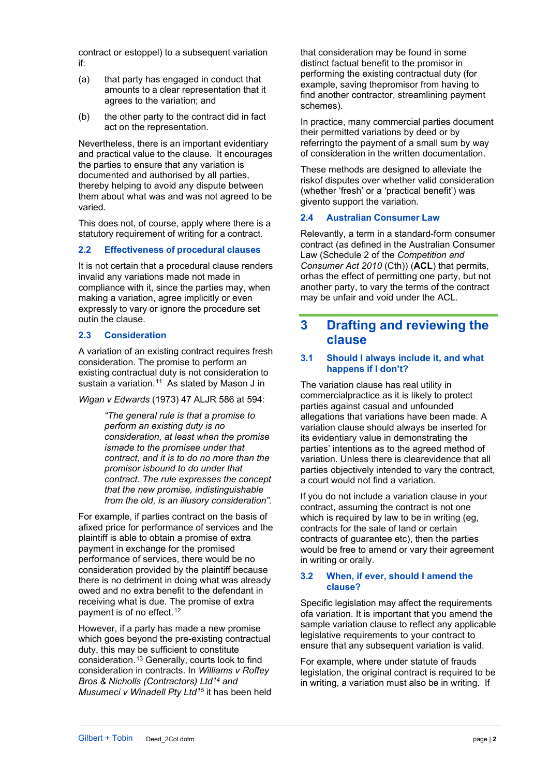contract or estoppel) to a subsequent variation if:

- (a) that party has engaged in conduct that amounts to a clear representation that it agrees to the variation; and
- (b) the other party to the contract did in fact act on the representation.

Nevertheless, there is an important evidentiary and practical value to the clause. It encourages the parties to ensure that any variation is documented and authorised by all parties, thereby helping to avoid any dispute between them about what was and was not agreed to be varied.

This does not, of course, apply where there is a statutory requirement of writing for a contract.

## **2.2 Effectiveness of procedural clauses**

It is not certain that a procedural clause renders invalid any variations made not made in compliance with it, since the parties may, when making a variation, agree implicitly or even expressly to vary or ignore the procedure set outin the clause.

## **2.3 Consideration**

A variation of an existing contract requires fresh consideration. The promise to perform an existing contractual duty is not consideration to sustain a variation.<sup>[11](#page-4-10)</sup> As stated by Mason J in

*Wigan v Edwards* (1973) 47 ALJR 586 at 594:

*"The general rule is that a promise to perform an existing duty is no consideration, at least when the promise ismade to the promisee under that contract, and it is to do no more than the promisor isbound to do under that contract. The rule expresses the concept that the new promise, indistinguishable from the old, is an illusory consideration".*

For example, if parties contract on the basis of afixed price for performance of services and the plaintiff is able to obtain a promise of extra payment in exchange for the promised performance of services, there would be no consideration provided by the plaintiff because there is no detriment in doing what was already owed and no extra benefit to the defendant in receiving what is due. The promise of extra payment is of no effect.<sup>[12](#page-4-11)</sup>

However, if a party has made a new promise which goes beyond the pre-existing contractual duty, this may be sufficient to constitute consideration.[13](#page-4-12) Generally, courts look to find consideration in contracts. In *Williams v Roffey Bros & Nicholls (Contractors) Ltd[14](#page-4-13) and Musumeci v Winadell Pty Ltd[15](#page-4-14)* it has been held that consideration may be found in some distinct factual benefit to the promisor in performing the existing contractual duty (for example, saving thepromisor from having to find another contractor, streamlining payment schemes).

In practice, many commercial parties document their permitted variations by deed or by referringto the payment of a small sum by way of consideration in the written documentation.

These methods are designed to alleviate the riskof disputes over whether valid consideration (whether 'fresh' or a 'practical benefit') was givento support the variation.

## **2.4 Australian Consumer Law**

Relevantly, a term in a standard-form consumer contract (as defined in the Australian Consumer Law (Schedule 2 of the *Competition and Consumer Act 2010* (Cth)) (**ACL**) that permits, orhas the effect of permitting one party, but not another party, to vary the terms of the contract may be unfair and void under the ACL.

# **3 Drafting and reviewing the clause**

#### **3.1 Should I always include it, and what happens if I don't?**

The variation clause has real utility in commercialpractice as it is likely to protect parties against casual and unfounded allegations that variations have been made. A variation clause should always be inserted for its evidentiary value in demonstrating the parties' intentions as to the agreed method of variation. Unless there is clearevidence that all parties objectively intended to vary the contract, a court would not find a variation.

If you do not include a variation clause in your contract, assuming the contract is not one which is required by law to be in writing (eg, contracts for the sale of land or certain contracts of guarantee etc), then the parties would be free to amend or vary their agreement in writing or orally.

#### **3.2 When, if ever, should I amend the clause?**

Specific legislation may affect the requirements ofa variation. It is important that you amend the sample variation clause to reflect any applicable legislative requirements to your contract to ensure that any subsequent variation is valid.

For example, where under statute of frauds legislation, the original contract is required to be in writing, a variation must also be in writing. If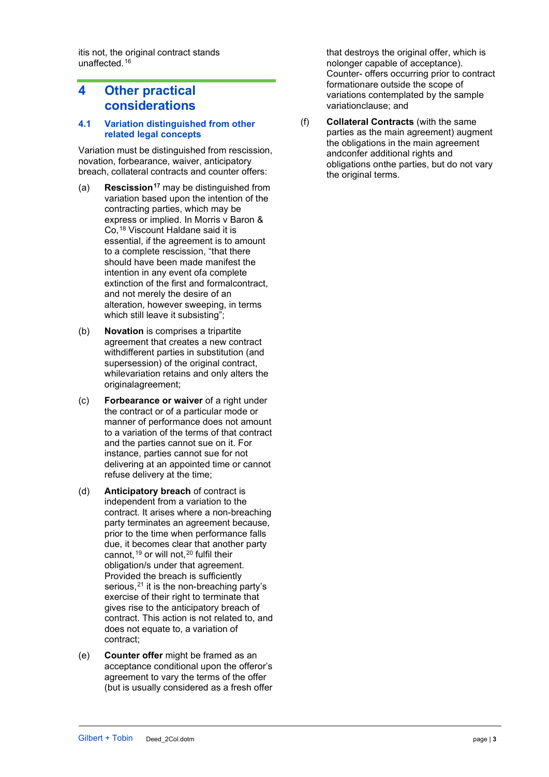itis not, the original contract stands unaffected.[16](#page-4-17)

# **4 Other practical considerations**

#### **4.1 Variation distinguished from other related legal concepts**

Variation must be distinguished from rescission, novation, forbearance, waiver, anticipatory breach, collateral contracts and counter offers:

- (a) **Rescission[17](#page-4-18)** may be distinguished from variation based upon the intention of the contracting parties, which may be express or implied. In Morris v Baron & Co,[18](#page-4-19) Viscount Haldane said it is essential, if the agreement is to amount to a complete rescission, "that there should have been made manifest the intention in any event ofa complete extinction of the first and formalcontract, and not merely the desire of an alteration, however sweeping, in terms which still leave it subsisting";
- (b) **Novation** is comprises a tripartite agreement that creates a new contract withdifferent parties in substitution (and supersession) of the original contract, whilevariation retains and only alters the originalagreement;
- (c) **Forbearance or waiver** of a right under the contract or of a particular mode or manner of performance does not amount to a variation of the terms of that contract and the parties cannot sue on it. For instance, parties cannot sue for not delivering at an appointed time or cannot refuse delivery at the time;
- (d) **Anticipatory breach** of contract is independent from a variation to the contract. It arises where a non-breaching party terminates an agreement because, prior to the time when performance falls due, it becomes clear that another party cannot, <sup>[19](#page-4-20)</sup> [o](#page-4-15)r will not, <sup>[20](#page-4-21)</sup> [fu](#page-4-16)lfil their obligation/s under that agreement. Provided the breach is sufficiently serious, $21$  it is the non-breaching party's exercise of their right to terminate that gives rise to the anticipatory breach of contract. This action is not related to, and does not equate to, a variation of contract;
- (e) **Counter offer** might be framed as an acceptance conditional upon the offeror's agreement to vary the terms of the offer (but is usually considered as a fresh offer

that destroys the original offer, which is nolonger capable of acceptance). Counter- offers occurring prior to contract formationare outside the scope of variations contemplated by the sample variationclause; and

(f) **Collateral Contracts** (with the same parties as the main agreement) augment the obligations in the main agreement andconfer additional rights and obligations onthe parties, but do not vary the original terms.